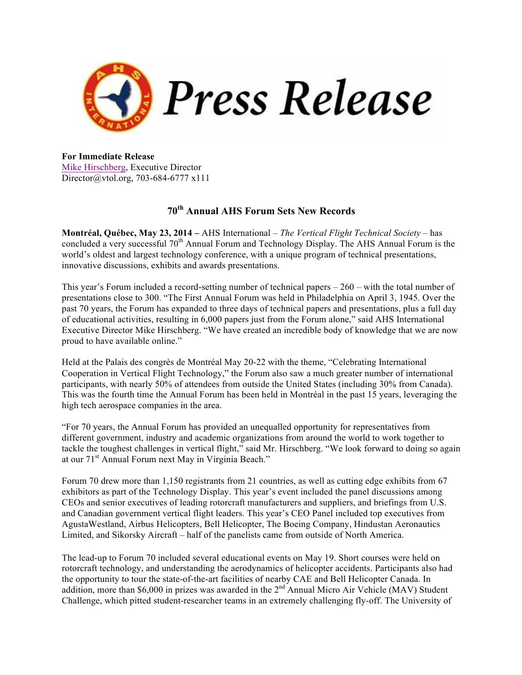

**For Immediate Release** Mike Hirschberg, Executive Director Director@vtol.org, 703-684-6777 x111

## **70th Annual AHS Forum Sets New Records**

**Montréal, Québec, May 23, 2014 –** AHS International – *The Vertical Flight Technical Society* – has concluded a very successful 70<sup>th</sup> Annual Forum and Technology Display. The AHS Annual Forum is the world's oldest and largest technology conference, with a unique program of technical presentations, innovative discussions, exhibits and awards presentations.

This year's Forum included a record-setting number of technical papers – 260 – with the total number of presentations close to 300. "The First Annual Forum was held in Philadelphia on April 3, 1945. Over the past 70 years, the Forum has expanded to three days of technical papers and presentations, plus a full day of educational activities, resulting in 6,000 papers just from the Forum alone," said AHS International Executive Director Mike Hirschberg. "We have created an incredible body of knowledge that we are now proud to have available online."

Held at the Palais des congrès de Montréal May 20-22 with the theme, "Celebrating International Cooperation in Vertical Flight Technology," the Forum also saw a much greater number of international participants, with nearly 50% of attendees from outside the United States (including 30% from Canada). This was the fourth time the Annual Forum has been held in Montréal in the past 15 years, leveraging the high tech aerospace companies in the area.

"For 70 years, the Annual Forum has provided an unequalled opportunity for representatives from different government, industry and academic organizations from around the world to work together to tackle the toughest challenges in vertical flight," said Mr. Hirschberg. "We look forward to doing so again at our 71st Annual Forum next May in Virginia Beach."

Forum 70 drew more than 1,150 registrants from 21 countries, as well as cutting edge exhibits from 67 exhibitors as part of the Technology Display. This year's event included the panel discussions among CEOs and senior executives of leading rotorcraft manufacturers and suppliers, and briefings from U.S. and Canadian government vertical flight leaders. This year's CEO Panel included top executives from AgustaWestland, Airbus Helicopters, Bell Helicopter, The Boeing Company, Hindustan Aeronautics Limited, and Sikorsky Aircraft – half of the panelists came from outside of North America.

The lead-up to Forum 70 included several educational events on May 19. Short courses were held on rotorcraft technology, and understanding the aerodynamics of helicopter accidents. Participants also had the opportunity to tour the state-of-the-art facilities of nearby CAE and Bell Helicopter Canada. In addition, more than \$6,000 in prizes was awarded in the 2<sup>nd</sup> Annual Micro Air Vehicle (MAV) Student Challenge, which pitted student-researcher teams in an extremely challenging fly-off. The University of